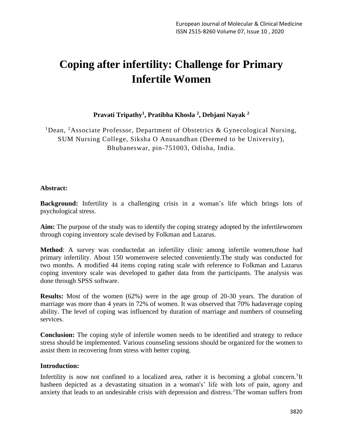# **Coping after infertility: Challenge for Primary Infertile Women**

# **Pravati Tripathy<sup>1</sup> , Pratibha Khosla <sup>2</sup> , Debjani Nayak <sup>2</sup>**

<sup>1</sup>Dean, <sup>2</sup>Associate Professor, Department of Obstetrics & Gynecological Nursing, SUM Nursing College, Siksha O Anusandhan (Deemed to be University), Bhubaneswar, pin-751003, Odisha, India.

### **Abstract:**

**Background:** Infertility is a challenging crisis in a woman's life which brings lots of psychological stress.

**Aim:** The purpose of the study was to identify the coping strategy adopted by the infertilewomen through coping inventory scale devised by Folkman and Lazarus.

**Method**: A survey was conductedat an infertility clinic among infertile women, those had primary infertility. About 150 womenwere selected conveniently.The study was conducted for two months. A modified 44 items coping rating scale with reference to Folkman and Lazarus coping inventory scale was developed to gather data from the participants. The analysis was done through SPSS software.

**Results:** Most of the women (62%) were in the age group of 20-30 years. The duration of marriage was more than 4 years in 72% of women. It was observed that 70% hadaverage coping ability. The level of coping was influenced by duration of marriage and numbers of counseling services.

**Conclusion:** The coping style of infertile women needs to be identified and strategy to reduce stress should be implemented. Various counseling sessions should be organized for the women to assist them in recovering from stress with better coping.

### **Introduction:**

Infertility is now not confined to a localized area, rather it is becoming a global concern.<sup>1</sup>It hasbeen depicted as a devastating situation in a woman's' life with lots of pain, agony and anxiety that leads to an undesirable crisis with depression and distress.  $2$ The woman suffers from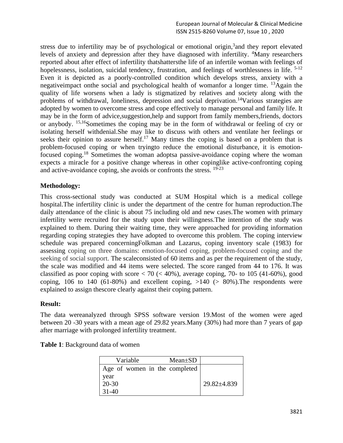stress due to infertility may be of psychological or emotional origin,<sup>3</sup> and they report elevated levels of anxiety and depression after they have diagnosed with infertility. <sup>4</sup>Many researchers reported about after effect of infertility thatshattersthe life of an infertile woman with feelings of hopelessness, isolation, suicidal tendency, frustration, and feelings of worthlessness in life. <sup>5-12</sup> Even it is depicted as a poorly-controlled condition which develops stress, anxiety with a negativeimpact onthe social and psychological health of womanfor a longer time. <sup>13</sup>Again the quality of life worsens when a lady is stigmatized by relatives and society along with the problems of withdrawal, loneliness, depression and social deprivation.<sup>14</sup>Various strategies are adopted by women to overcome stress and cope effectively to manage personal and family life. It may be in the form of advice,suggestion,help and support from family members,friends, doctors or anybody. 15,16Sometimes the coping may be in the form of withdrawal or feeling of cry or isolating herself withdenial.She may like to discuss with others and ventilate her feelings or seeks their opinion to assure herself.<sup>17</sup> Many times the coping is based on a problem that is problem-focused coping or when tryingto reduce the emotional disturbance, it is emotionfocused coping.<sup>18</sup> Sometimes the woman adoptsa passive-avoidance coping where the woman expects a miracle for a positive change whereas in other copinglike active-confronting coping and active-avoidance coping, she avoids or confronts the stress. <sup>19-23</sup>

## **Methodology:**

This cross-sectional study was conducted at SUM Hospital which is a medical college hospital.The infertility clinic is under the department of the centre for human reproduction.The daily attendance of the clinic is about 75 including old and new cases. The women with primary infertility were recruited for the study upon their willingness.The intention of the study was explained to them. During their waiting time, they were approached for providing information regarding coping strategies they have adopted to overcome this problem. The coping interview schedule was prepared concerningFolkman and Lazarus, coping inventory scale (1983) for assessing coping on three domains: emotion-focused coping, problem-focused coping and the seeking of social support. The scaleconsisted of 60 items and as per the requirement of the study, the scale was modified and 44 items were selected. The score ranged from 44 to 176. It was classified as poor coping with score  $< 70$  ( $< 40\%$ ), average coping, 70- to 105 (41-60%), good coping, 106 to 140 (61-80%) and excellent coping,  $>140$  ( $> 80\%$ ). The respondents were explained to assign thescore clearly against their coping pattern.

### **Result:**

The data wereanalyzed through SPSS software version 19.Most of the women were aged between 20 -30 years with a mean age of 29.82 years.Many (30%) had more than 7 years of gap after marriage with prolonged infertility treatment.

| Variable                      | $Mean \pm SD$ |             |
|-------------------------------|---------------|-------------|
| Age of women in the completed |               |             |
| year<br>20-30                 |               | 29.82±4.839 |
| 31-40                         |               |             |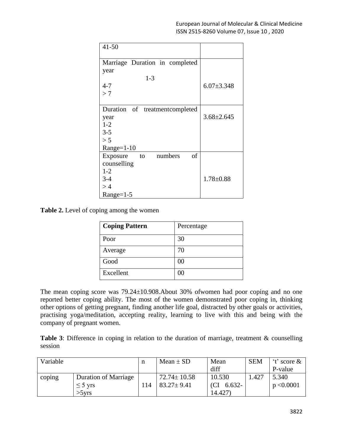| $41 - 50$                       |                  |
|---------------------------------|------------------|
| Marriage Duration in completed  |                  |
| year                            |                  |
| $1 - 3$                         |                  |
| $4 - 7$                         | $6.07 \pm 3.348$ |
| >7                              |                  |
|                                 |                  |
| Duration of treatmentcompleted  |                  |
| year                            | $3.68 \pm 2.645$ |
| $1 - 2$                         |                  |
| $3 - 5$                         |                  |
| > 5                             |                  |
| $Range=1-10$                    |                  |
| of<br>numbers<br>Exposure<br>to |                  |
| counselling                     |                  |
| $1 - 2$                         |                  |
| $3 - 4$                         | $1.78 \pm 0.88$  |
| >4                              |                  |
| $Range=1-5$                     |                  |

**Table 2.** Level of coping among the women

| <b>Coping Pattern</b> | Percentage |
|-----------------------|------------|
| Poor                  | 30         |
| Average               | 70         |
| Good                  | 00         |
| Excellent             | 00         |

The mean coping score was 79.24±10.908.About 30% ofwomen had poor coping and no one reported better coping ability. The most of the women demonstrated poor coping in, thinking other options of getting pregnant, finding another life goal, distracted by other goals or activities, practising yoga/meditation, accepting reality, learning to live with this and being with the company of pregnant women.

**Table 3**: Difference in coping in relation to the duration of marriage, treatment & counselling session

| Variable |                             | n   | Mean $\pm$ SD     | Mean      | <b>SEM</b> | $'t'$ score $\&$ |
|----------|-----------------------------|-----|-------------------|-----------|------------|------------------|
|          |                             |     |                   | diff      |            | P-value          |
| coping   | <b>Duration of Marriage</b> |     | $72.74 \pm 10.58$ | 10.530    | 1.427      | 5.340            |
|          | $\leq$ 5 yrs                | 114 | $83.27 \pm 9.41$  | $6.632 -$ |            | p < 0.0001       |
|          | $>5$ yrs                    |     |                   | 14.427)   |            |                  |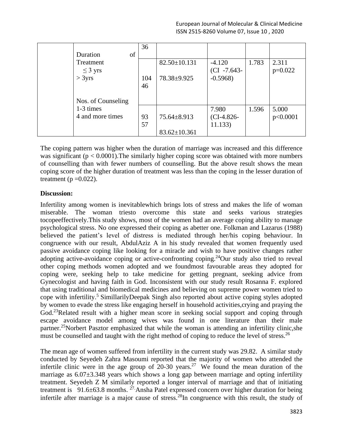|                    | 36  |                    |                 |       |           |
|--------------------|-----|--------------------|-----------------|-------|-----------|
| of<br>Duration     |     |                    |                 |       |           |
| Treatment          |     | $82.50 \pm 10.131$ | $-4.120$        | 1.783 | 2.311     |
| $\leq$ 3 yrs       |     |                    | $ CI - 7.643 -$ |       | $p=0.022$ |
| > 3yrs             | 104 | 78.38±9.925        | $-0.5968$       |       |           |
|                    | 46  |                    |                 |       |           |
|                    |     |                    |                 |       |           |
| Nos. of Counseling |     |                    |                 |       |           |
| 1-3 times          |     |                    | 7.980           | 1.596 | 5.000     |
| 4 and more times   | 93  | $75.64 \pm 8.913$  | $CL-4.826-$     |       | p<0.0001  |
|                    | 57  |                    | 11.133)         |       |           |
|                    |     | $83.62 \pm 10.361$ |                 |       |           |

The coping pattern was higher when the duration of marriage was increased and this difference was significant  $(p < 0.0001)$ . The similarly higher coping score was obtained with more numbers of counselling than with fewer numbers of counselling. But the above result shows the mean coping score of the higher duration of treatment was less than the coping in the lesser duration of treatment ( $p = 0.022$ ).

## **Discussion:**

Infertility among women is inevitablewhich brings lots of stress and makes the life of woman miserable. The woman triesto overcome this state and seeks various strategies tocopeeffectively.This study shows, most of the women had an average coping ability to manage psychological stress. No one expressed their coping as abetter one. Folkman and Lazarus (1988) believed the patient's level of distress is mediated through her/his coping behaviour. In congruence with our result, AbdulAziz A in his study revealed that women frequently used passive avoidance coping like looking for a miracle and wish to have positive changes rather adopting active-avoidance coping or active-confronting coping.<sup>24</sup>Our study also tried to reveal other coping methods women adopted and we foundmost favourable areas they adopted for coping were, seeking help to take medicine for getting pregnant, seeking advice from Gynecologist and having faith in God. Inconsistent with our study result Rosanna F. explored that using traditional and biomedical medicines and believing on supreme power women tried to cope with infertility.<sup>5</sup> SimillarilyDeepak Singh also reported about active coping styles adopted by women to evade the stress like engaging herself in household activities,crying and praying the God.<sup>23</sup>Related result with a higher mean score in seeking social support and coping through escape avoidance model among wives was found in one literature than their male partner.<sup>25</sup>[Norbert Pasztor](https://www.researchgate.net/profile/Norbert_Pasztor2?_sg%5B0%5D=FqvtqHbqIpmNtyeqaDJvIIGIoxCy5tvINDClu5O0d8Yeg6abLQ3gxebMZ5Bet21mufMIivg.I0-Dcm2wIEuUCG-KGzXb0vRcxE87OeCC-Hh2vjslVn-Vvkkpf6SKfnDMD-eZDsuVOMpaz73ocUoPCCq3X6DNaA&_sg%5B1%5D=zVJ3DhiMusfRQc_beTqM4qNEXwhKGUxwMEHsfbrHVsK2AdFMt-u1J3d2gEP79voNeT0iBG0.rYa1uc7h3C41ClhiOwk_3RZEVf-PY5wvyEPNyxSSJNp25ZlFC-Cuj-UxxhlY0aYt_f3Nmc-45bl2Jdkt5eVBFg) emphasized that while the woman is attending an infertility clinic,she must be counselled and taught with the right method of coping to reduce the level of stress.<sup>26</sup>

The mean age of women suffered from infertility in the current study was 29.82. A similar study conducted by [Seyedeh Zahra Masoumi](https://www.ncbi.nlm.nih.gov/pubmed/?term=Masoumi%20SZ%5BAuthor%5D&cauthor=true&cauthor_uid=26568755) reported that the majority of women who attended the infertile clinic were in the age group of  $20-30$  years.<sup>27</sup> We found the mean duration of the marriage as  $6.07\pm3.348$  years which shows a long gap between marriage and opting infertility treatment. Seyedeh Z M similarly reported a longer interval of marriage and that of initiating treatment is  $91.6\pm63.8$  months. <sup>27</sup> [Ansha Patel](https://www.ncbi.nlm.nih.gov/pubmed/?term=Patel%20A%5BAuthor%5D&cauthor=true&cauthor_uid=27110075) expressed concern over higher duration for being infertile after marriage is a major cause of stress.<sup>28</sup>In congruence with this result, the study of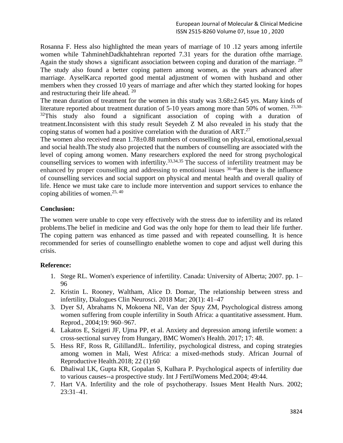Rosanna F. Hess also highlighted the mean years of marriage of 10 .12 years among infertile women while [TahminehDadkhahtehran](http://www.ijnmrjournal.net/searchresult.asp?search=&author=Tahmineh+Dadkhahtehrani&journal=Y&but_search=Search&entries=10&pg=1&s=0) reported 7.31 years for the duration ofthe marriage. Again the study shows a significant association between coping and duration of the marriage.<sup>29</sup> The study also found a better coping pattern among women, as the years advanced after marriage. AyselKarca reported good mental adjustment of women with husband and other members when they crossed 10 years of marriage and after which they started looking for hopes and restructuring their life ahead. <sup>20</sup>

The mean duration of treatment for the women in this study was 3.68±2.645 yrs. Many kinds of literature reported about treatment duration of 5-10 years among more than 50% of women.  $23,30 32$ This study also found a significant association of coping with a duration of treatment.Inconsistent with this study result Seyedeh Z M also revealed in his study that the coping status of women had a positive correlation with the duration of ART.<sup>27</sup>

The women also received mean  $1.78\pm0.88$  numbers of counselling on physical, emotional, sexual and social health.The study also projected that the numbers of counselling are associated with the level of coping among women. Many researchers explored the need for strong psychological counselling services to women with infertility.33,34,35 The success of infertility treatment may be enhanced by proper counselling and addressing to emotional issues  $36-40$  as there is the influence of counselling services and social support on physical and mental health and overall quality of life. Hence we must take care to include more intervention and support services to enhance the coping abilities of women. 25, 40

# **Conclusion:**

The women were unable to cope very effectively with the stress due to infertility and its related problems.The belief in medicine and God was the only hope for them to lead their life further. The coping pattern was enhanced as time passed and with repeated counselling. It is hence recommended for series of counsellingto enablethe women to cope and adjust well during this crisis.

# **Reference:**

- 1. Stege RL. Women's experience of infertility. Canada: University of Alberta; 2007. pp. 1– 96
- 2. Kristin L. Rooney, Waltham, Alice D. Domar, The relationship between stress and infertility, Dialogues Clin Neurosci. 2018 Mar; 20(1): 41–47
- 3. Dyer SJ, Abrahams N, Mokoena NE, Van der Spuy ZM, Psychological distress among women suffering from couple infertility in South Africa: a quantitative assessment. Hum. Reprod., 2004;19: 960–967.
- 4. Lakatos E, Szigeti JF, Ujma PP, et al. Anxiety and depression among infertile women: a cross-sectional survey from Hungary, BMC Women's Health. 2017; 17: 48.
- 5. Hess RF, Ross R, GilillandJL. Infertility, psychological distress, and coping strategies among women in Mali, West Africa: a mixed-methods study. African Journal of Reproductive Health.2018; 22 (1):60
- 6. Dhaliwal LK, Gupta KR, Gopalan S, Kulhara P. Psychological aspects of infertility due to various causes--a prospective study. Int J FertilWomens Med.2004; 49:44.
- 7. Hart VA. Infertility and the role of psychotherapy. Issues Ment Health Nurs. 2002; 23:31–41.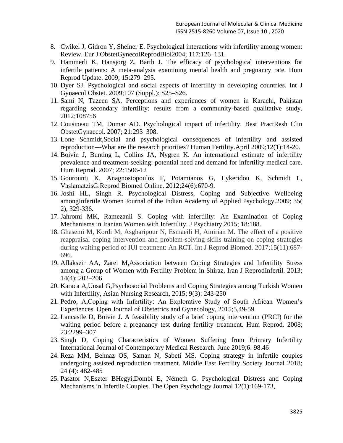- 8. Cwikel J, Gidron Y, Sheiner E. Psychological interactions with infertility among women: Review. Eur J ObstetGynecolReprodBiol2004; 117:126–131.
- 9. Hammerli K, Hansjorg Z, Barth J. The efficacy of psychological interventions for infertile patients: A meta-analysis examining mental health and pregnancy rate. Hum Reprod Update. 2009; 15:279–295.
- 10. Dyer SJ. Psychological and social aspects of infertility in developing countries. Int J Gynaecol Obstet. 2009;107 (Suppl.): S25–S26.
- 11. Sami N, Tazeen SA. Perceptions and experiences of women in Karachi, Pakistan regarding secondary infertility: results from a community-based qualitative study. 2012;108756
- 12. Cousineau TM, Domar AD. Psychological impact of infertility. Best PractResh Clin ObstetGynaecol. 2007; 21:293–308.
- 13. Lone Schmidt,Social and psychological consequences of infertility and assisted reproduction—What are the research priorities? Human Fertility.April 2009;12(1):14-20.
- 14. Boivin J, Bunting L, Collins JA, Nygren K. An international estimate of infertility prevalence and treatment-seeking: potential need and demand for infertility medical care. Hum Reprod. 2007; 22:1506-12
- 15. Gourounti K, Anagnostopoulos F, Potamianos G, Lykeridou K, Schmidt L, VaslamatzisG.Reprod Biomed Online. 2012;24(6):670-9.
- 16. Joshi HL, Singh R. Psychological Distress, Coping and Subjective Wellbeing amongInfertile Women Journal of the Indian Academy of Applied Psychology.2009; 35( 2), 329-336.
- 17. Jahromi MK, Ramezanli S. Coping with infertility: An Examination of Coping Mechanisms in Iranian Women with Infertility. J Psychiatry,2015; 18:188.
- 18. Ghasemi M, Kordi M, Asgharipour N, Esmaeili H, Amirian M. The effect of a positive reappraisal coping intervention and problem-solving skills training on coping strategies during waiting period of IUI treatment: An RCT. Int J Reprod Biomed. 2017;15(11):687- 696.
- 19. Aflakseir AA, Zarei M,Association between Coping Strategies and Infertility Stress among a Group of Women with Fertility Problem in Shiraz, Iran J ReprodInfertil. 2013; 14(4): 202–206
- 20. Karaca A,Unsal G,Psychosocial Problems and Coping Strategies among Turkish Women with Infertility, Asian Nursing Research, 2015; 9(3): 243-250
- 21. Pedro, A,Coping with Infertility: An Explorative Study of South African Women's Experiences. Open Journal of Obstetrics and Gynecology, 2015;5,49-59.
- 22. Lancastle D, Boivin J. A feasibility study of a brief coping intervention (PRCI) for the waiting period before a pregnancy test during fertility treatment. Hum Reprod. 2008; 23:2299–307
- 23. Singh D, Coping Characteristics of Women Suffering from Primary Infertility International Journal of Contemporary Medical Research. June 2019;6: 98.46
- 24. Reza MM, Behnaz OS, Saman N, Sabeti MS. Coping strategy in infertile couples undergoing assisted reproduction treatment. Middle East Fertility Society Journal 2018; 24 (4): 482-485
- 25. Pasztor N,Eszter BHegyi,Dombi E, Németh G. Psychological Distress and Coping Mechanisms in Infertile Couples. The Open Psychology Journal 12(1):169-173,